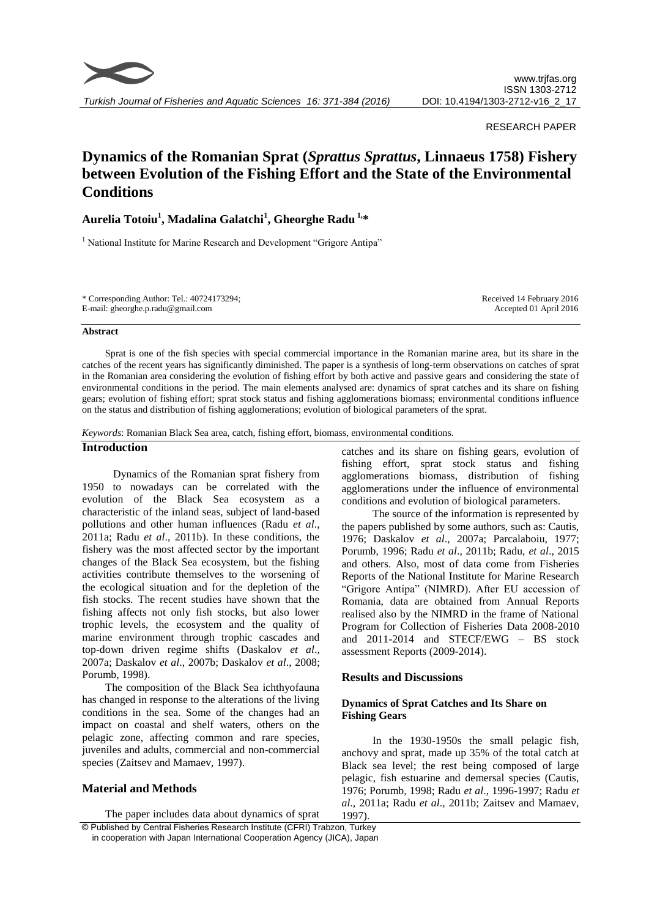

#### RESEARCH PAPER

# **Dynamics of the Romanian Sprat (***Sprattus Sprattus***, Linnaeus 1758) Fishery between Evolution of the Fishing Effort and the State of the Environmental Conditions**

## **Aurelia Totoiu<sup>1</sup> , Madalina Galatchi<sup>1</sup> , Gheorghe Radu 1,\***

<sup>1</sup> National Institute for Marine Research and Development "Grigore Antipa"

| * Corresponding Author: Tel.: $40724173294$ ; | Received 14 February 2016 |
|-----------------------------------------------|---------------------------|
| E-mail: gheorghe.p.radu@gmail.com             | Accepted 01 April 2016    |

#### **Abstract**

Sprat is one of the fish species with special commercial importance in the Romanian marine area, but its share in the catches of the recent years has significantly diminished. The paper is a synthesis of long-term observations on catches of sprat in the Romanian area considering the evolution of fishing effort by both active and passive gears and considering the state of environmental conditions in the period. The main elements analysed are: dynamics of sprat catches and its share on fishing gears; evolution of fishing effort; sprat stock status and fishing agglomerations biomass; environmental conditions influence on the status and distribution of fishing agglomerations; evolution of biological parameters of the sprat.

*Keywords*: Romanian Black Sea area, catch, fishing effort, biomass, environmental conditions.

## **Introduction**

Dynamics of the Romanian sprat fishery from 1950 to nowadays can be correlated with the evolution of the Black Sea ecosystem as a characteristic of the inland seas, subject of land-based pollutions and other human influences (Radu *et al*., 2011a; Radu *et al*., 2011b). In these conditions, the fishery was the most affected sector by the important changes of the Black Sea ecosystem, but the fishing activities contribute themselves to the worsening of the ecological situation and for the depletion of the fish stocks. The recent studies have shown that the fishing affects not only fish stocks, but also lower trophic levels, the ecosystem and the quality of marine environment through trophic cascades and top-down driven regime shifts (Daskalov *et al*., 2007a; Daskalov *et al*., 2007b; Daskalov *et al*., 2008; Porumb, 1998).

The composition of the Black Sea ichthyofauna has changed in response to the alterations of the living conditions in the sea. Some of the changes had an impact on coastal and shelf waters, others on the pelagic zone, affecting common and rare species, juveniles and adults, commercial and non-commercial species (Zaitsev and Mamaev, 1997).

#### **Material and Methods**

© Published by Central Fisheries Research Institute (CFRI) Trabzon, Turkey The paper includes data about dynamics of sprat

in cooperation with Japan International Cooperation Agency (JICA), Japan

catches and its share on fishing gears, evolution of fishing effort, sprat stock status and fishing agglomerations biomass, distribution of fishing agglomerations under the influence of environmental conditions and evolution of biological parameters.

The source of the information is represented by the papers published by some authors, such as: Cautis, 1976; Daskalov *et al*., 2007a; Parcalaboiu, 1977; Porumb, 1996; Radu *et al*., 2011b; Radu, *et al*., 2015 and others. Also, most of data come from Fisheries Reports of the National Institute for Marine Research "Grigore Antipa" (NIMRD). After EU accession of Romania, data are obtained from Annual Reports realised also by the NIMRD in the frame of National Program for Collection of Fisheries Data 2008-2010 and 2011-2014 and STECF/EWG – BS stock assessment Reports (2009-2014).

#### **Results and Discussions**

## **Dynamics of Sprat Catches and Its Share on Fishing Gears**

In the 1930-1950s the small pelagic fish, anchovy and sprat, made up 35% of the total catch at Black sea level; the rest being composed of large pelagic, fish estuarine and demersal species (Cautis, 1976; Porumb, 1998; Radu *et al*., 1996-1997; Radu *et al*., 2011a; Radu *et al*., 2011b; Zaitsev and Mamaev, 1997).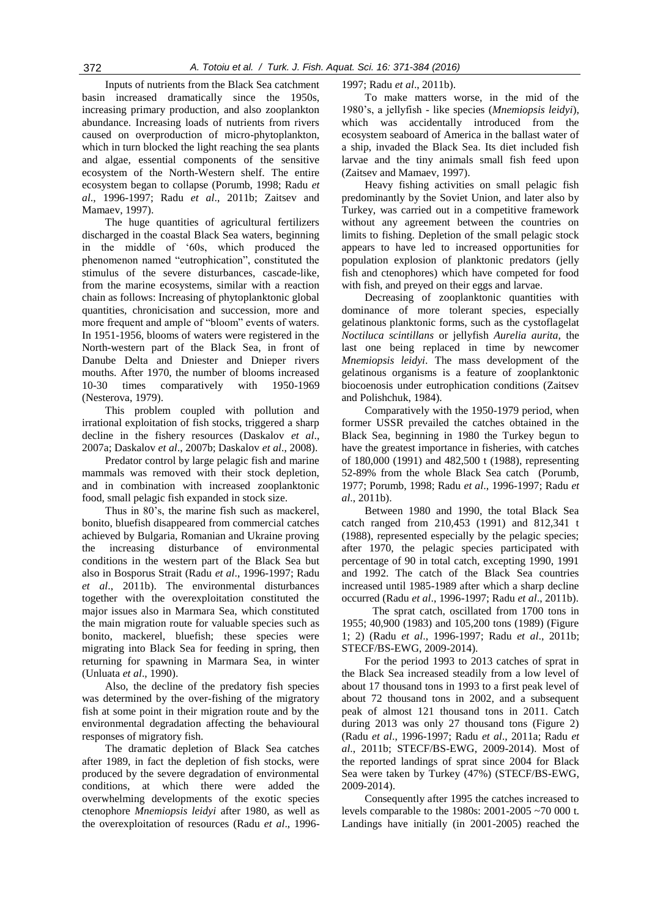Inputs of nutrients from the Black Sea catchment basin increased dramatically since the 1950s, increasing primary production, and also zooplankton abundance. Increasing loads of nutrients from rivers caused on overproduction of micro-phytoplankton, which in turn blocked the light reaching the sea plants and algae, essential components of the sensitive ecosystem of the North-Western shelf. The entire ecosystem began to collapse (Porumb, 1998; Radu *et al*., 1996-1997; Radu *et al*., 2011b; Zaitsev and Mamaev, 1997).

The huge quantities of agricultural fertilizers discharged in the coastal Black Sea waters, beginning in the middle of "60s, which produced the phenomenon named "eutrophication", constituted the stimulus of the severe disturbances, cascade-like, from the marine ecosystems, similar with a reaction chain as follows: Increasing of phytoplanktonic global quantities, chronicisation and succession, more and more frequent and ample of "bloom" events of waters. In 1951-1956, blooms of waters were registered in the North-western part of the Black Sea, in front of Danube Delta and Dniester and Dnieper rivers mouths. After 1970, the number of blooms increased 10-30 times comparatively with 1950-1969 (Nesterova, 1979).

This problem coupled with pollution and irrational exploitation of fish stocks, triggered a sharp decline in the fishery resources (Daskalov *et al*., 2007a; Daskalov *et al*., 2007b; Daskalov *et al*., 2008).

Predator control by large pelagic fish and marine mammals was removed with their stock depletion, and in combination with increased zooplanktonic food, small pelagic fish expanded in stock size.

Thus in 80's, the marine fish such as mackerel, bonito, bluefish disappeared from commercial catches achieved by Bulgaria, Romanian and Ukraine proving the increasing disturbance of environmental conditions in the western part of the Black Sea but also in Bosporus Strait (Radu *et al*., 1996-1997; Radu *et al*., 2011b). The environmental disturbances together with the overexploitation constituted the major issues also in Marmara Sea, which constituted the main migration route for valuable species such as bonito, mackerel, bluefish; these species were migrating into Black Sea for feeding in spring, then returning for spawning in Marmara Sea, in winter (Unluata *et al*., 1990).

Also, the decline of the predatory fish species was determined by the over-fishing of the migratory fish at some point in their migration route and by the environmental degradation affecting the behavioural responses of migratory fish.

The dramatic depletion of Black Sea catches after 1989, in fact the depletion of fish stocks, were produced by the severe degradation of environmental conditions, at which there were added the overwhelming developments of the exotic species ctenophore *Mnemiopsis leidyi* after 1980, as well as the overexploitation of resources (Radu *et al*., 19961997; Radu *et al*., 2011b).

To make matters worse, in the mid of the 1980"s, a jellyfish - like species (*Mnemiopsis leidyi*), which was accidentally introduced from the ecosystem seaboard of America in the ballast water of a ship, invaded the Black Sea. Its diet included fish larvae and the tiny animals small fish feed upon (Zaitsev and Mamaev, 1997).

Heavy fishing activities on small pelagic fish predominantly by the Soviet Union, and later also by Turkey, was carried out in a competitive framework without any agreement between the countries on limits to fishing. Depletion of the small pelagic stock appears to have led to increased opportunities for population explosion of planktonic predators (jelly fish and ctenophores) which have competed for food with fish, and preyed on their eggs and larvae.

Decreasing of zooplanktonic quantities with dominance of more tolerant species, especially gelatinous planktonic forms, such as the cystoflagelat *Noctiluca scintillans* or jellyfish *Aurelia aurita*, the last one being replaced in time by newcomer *Mnemiopsis leidyi*. The mass development of the gelatinous organisms is a feature of zooplanktonic biocoenosis under eutrophication conditions (Zaitsev and Polishchuk, 1984).

Comparatively with the 1950-1979 period, when former USSR prevailed the catches obtained in the Black Sea, beginning in 1980 the Turkey begun to have the greatest importance in fisheries, with catches of 180,000 (1991) and 482,500 t (1988), representing 52-89% from the whole Black Sea catch (Porumb, 1977; Porumb, 1998; Radu *et al*., 1996-1997; Radu *et al*., 2011b).

Between 1980 and 1990, the total Black Sea catch ranged from 210,453 (1991) and 812,341 t (1988), represented especially by the pelagic species; after 1970, the pelagic species participated with percentage of 90 in total catch, excepting 1990, 1991 and 1992. The catch of the Black Sea countries increased until 1985-1989 after which a sharp decline occurred (Radu *et al*., 1996-1997; Radu *et al*., 2011b).

The sprat catch, oscillated from 1700 tons in 1955; 40,900 (1983) and 105,200 tons (1989) (Figure 1; 2) (Radu *et al*., 1996-1997; Radu *et al*., 2011b; STECF/BS-EWG, 2009-2014).

For the period 1993 to 2013 catches of sprat in the Black Sea increased steadily from a low level of about 17 thousand tons in 1993 to a first peak level of about 72 thousand tons in 2002, and a subsequent peak of almost 121 thousand tons in 2011. Catch during 2013 was only 27 thousand tons (Figure 2) (Radu *et al*., 1996-1997; Radu *et al*., 2011a; Radu *et al*., 2011b; STECF/BS-EWG, 2009-2014). Most of the reported landings of sprat since 2004 for Black Sea were taken by Turkey (47%) (STECF/BS-EWG, 2009-2014).

Consequently after 1995 the catches increased to levels comparable to the 1980s: 2001-2005 ~70 000 t. Landings have initially (in 2001-2005) reached the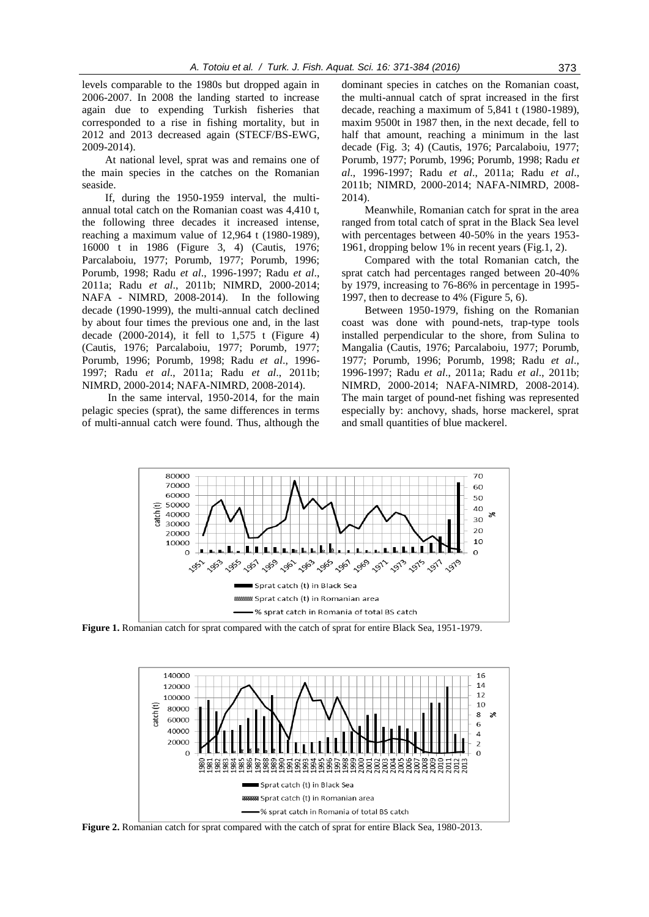levels comparable to the 1980s but dropped again in 2006-2007. In 2008 the landing started to increase again due to expending Turkish fisheries that corresponded to a rise in fishing mortality, but in 2012 and 2013 decreased again (STECF/BS-EWG, 2009-2014).

At national level, sprat was and remains one of the main species in the catches on the Romanian seaside.

If, during the 1950-1959 interval, the multiannual total catch on the Romanian coast was 4,410 t, the following three decades it increased intense, reaching a maximum value of 12,964 t (1980-1989), 16000 t in 1986 (Figure 3, 4) (Cautis, 1976; Parcalaboiu, 1977; Porumb, 1977; Porumb, 1996; Porumb, 1998; Radu *et al*., 1996-1997; Radu *et al*., 2011a; Radu *et al*., 2011b; NIMRD, 2000-2014; NAFA - NIMRD, 2008-2014). In the following decade (1990-1999), the multi-annual catch declined by about four times the previous one and, in the last decade (2000-2014), it fell to 1,575 t (Figure 4) (Cautis, 1976; Parcalaboiu, 1977; Porumb, 1977; Porumb, 1996; Porumb, 1998; Radu *et al*., 1996- 1997; Radu *et al*., 2011a; Radu *et al*., 2011b; NIMRD, 2000-2014; NAFA-NIMRD, 2008-2014).

In the same interval, 1950-2014, for the main pelagic species (sprat), the same differences in terms of multi-annual catch were found. Thus, although the

dominant species in catches on the Romanian coast, the multi-annual catch of sprat increased in the first decade, reaching a maximum of 5,841 t (1980-1989), maxim 9500t in 1987 then, in the next decade, fell to half that amount, reaching a minimum in the last decade (Fig. 3; 4) (Cautis, 1976; Parcalaboiu, 1977; Porumb, 1977; Porumb, 1996; Porumb, 1998; Radu *et al*., 1996-1997; Radu *et al*., 2011a; Radu *et al*., 2011b; NIMRD, 2000-2014; NAFA-NIMRD, 2008- 2014).

Meanwhile, Romanian catch for sprat in the area ranged from total catch of sprat in the Black Sea level with percentages between 40-50% in the years 1953- 1961, dropping below 1% in recent years (Fig.1, 2).

Compared with the total Romanian catch, the sprat catch had percentages ranged between 20-40% by 1979, increasing to 76-86% in percentage in 1995- 1997, then to decrease to 4% (Figure 5, 6).

Between 1950-1979, fishing on the Romanian coast was done with pound-nets, trap-type tools installed perpendicular to the shore, from Sulina to Mangalia (Cautis, 1976; Parcalaboiu, 1977; Porumb, 1977; Porumb, 1996; Porumb, 1998; Radu *et al*., 1996-1997; Radu *et al*., 2011a; Radu *et al*., 2011b; NIMRD, 2000-2014; NAFA-NIMRD, 2008-2014). The main target of pound-net fishing was represented especially by: anchovy, shads, horse mackerel, sprat and small quantities of blue mackerel.



**Figure 1.** Romanian catch for sprat compared with the catch of sprat for entire Black Sea, 1951-1979.



**Figure 2.** Romanian catch for sprat compared with the catch of sprat for entire Black Sea, 1980-2013.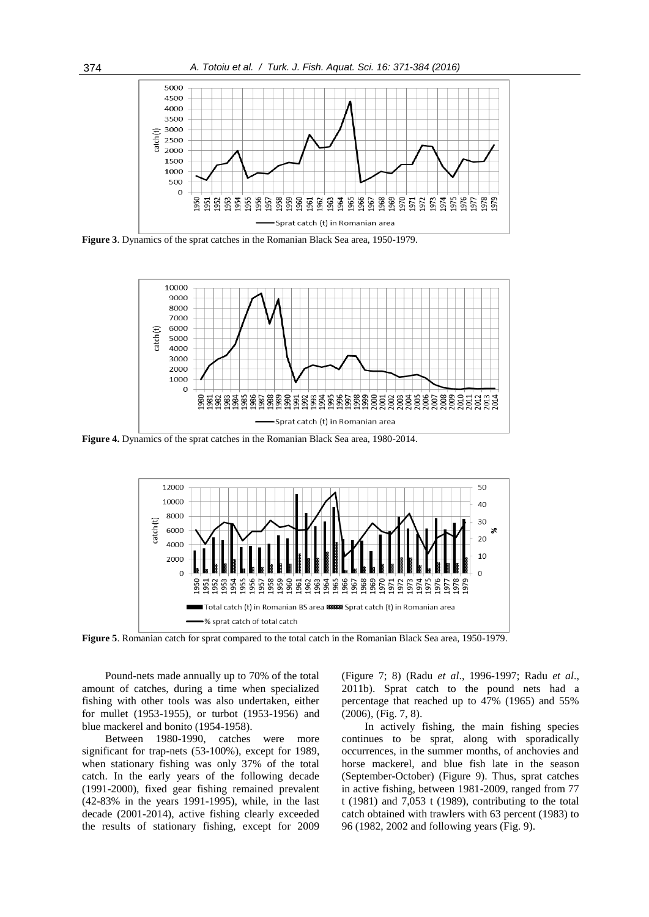

**Figure 3**. Dynamics of the sprat catches in the Romanian Black Sea area, 1950-1979.



**Figure 4.** Dynamics of the sprat catches in the Romanian Black Sea area, 1980-2014.



**Figure 5**. Romanian catch for sprat compared to the total catch in the Romanian Black Sea area, 1950-1979.

Pound-nets made annually up to 70% of the total amount of catches, during a time when specialized fishing with other tools was also undertaken, either for mullet (1953-1955), or turbot (1953-1956) and blue mackerel and bonito (1954-1958).

Between 1980-1990, catches were more significant for trap-nets (53-100%), except for 1989, when stationary fishing was only 37% of the total catch. In the early years of the following decade (1991-2000), fixed gear fishing remained prevalent (42-83% in the years 1991-1995), while, in the last decade (2001-2014), active fishing clearly exceeded the results of stationary fishing, except for 2009

(Figure 7; 8) (Radu *et al*., 1996-1997; Radu *et al*., 2011b). Sprat catch to the pound nets had a percentage that reached up to 47% (1965) and 55% (2006), (Fig. 7, 8).

In actively fishing, the main fishing species continues to be sprat, along with sporadically occurrences, in the summer months, of anchovies and horse mackerel, and blue fish late in the season (September-October) (Figure 9). Thus, sprat catches in active fishing, between 1981-2009, ranged from 77 t (1981) and 7,053 t (1989), contributing to the total catch obtained with trawlers with 63 percent (1983) to 96 (1982, 2002 and following years (Fig. 9).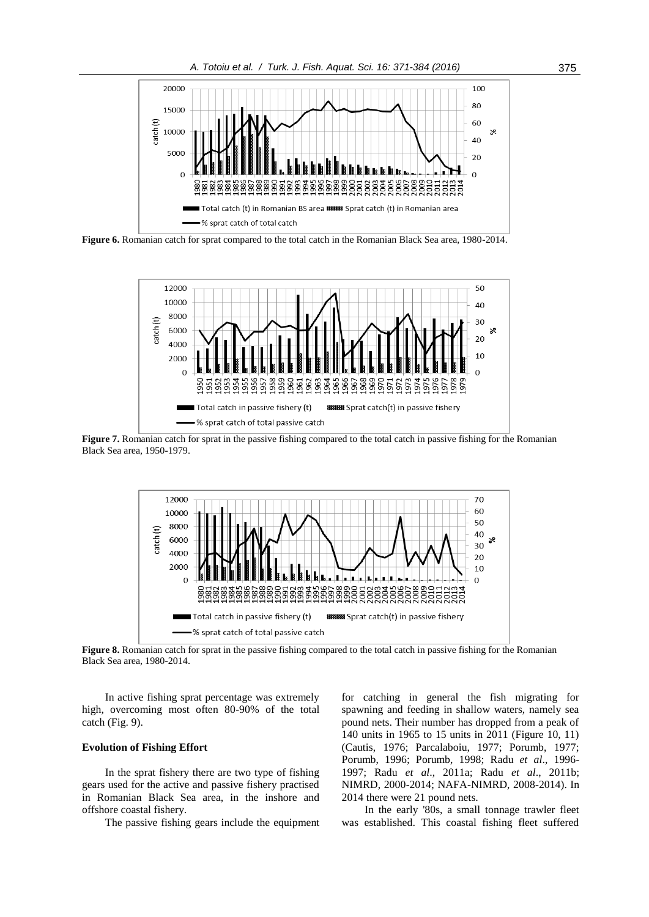

**Figure 6.** Romanian catch for sprat compared to the total catch in the Romanian Black Sea area, 1980-2014.



**Figure 7.** Romanian catch for sprat in the passive fishing compared to the total catch in passive fishing for the Romanian Black Sea area, 1950-1979.



**Figure 8.** Romanian catch for sprat in the passive fishing compared to the total catch in passive fishing for the Romanian Black Sea area, 1980-2014.

In active fishing sprat percentage was extremely high, overcoming most often 80-90% of the total catch (Fig. 9).

## **Evolution of Fishing Effort**

In the sprat fishery there are two type of fishing gears used for the active and passive fishery practised in Romanian Black Sea area, in the inshore and offshore coastal fishery.

The passive fishing gears include the equipment

for catching in general the fish migrating for spawning and feeding in shallow waters, namely sea pound nets. Their number has dropped from a peak of 140 units in 1965 to 15 units in 2011 (Figure 10, 11) (Cautis, 1976; Parcalaboiu, 1977; Porumb, 1977; Porumb, 1996; Porumb, 1998; Radu *et al*., 1996- 1997; Radu *et al*., 2011a; Radu *et al*., 2011b; NIMRD, 2000-2014; NAFA-NIMRD, 2008-2014). In 2014 there were 21 pound nets.

In the early '80s, a small tonnage trawler fleet was established. This coastal fishing fleet suffered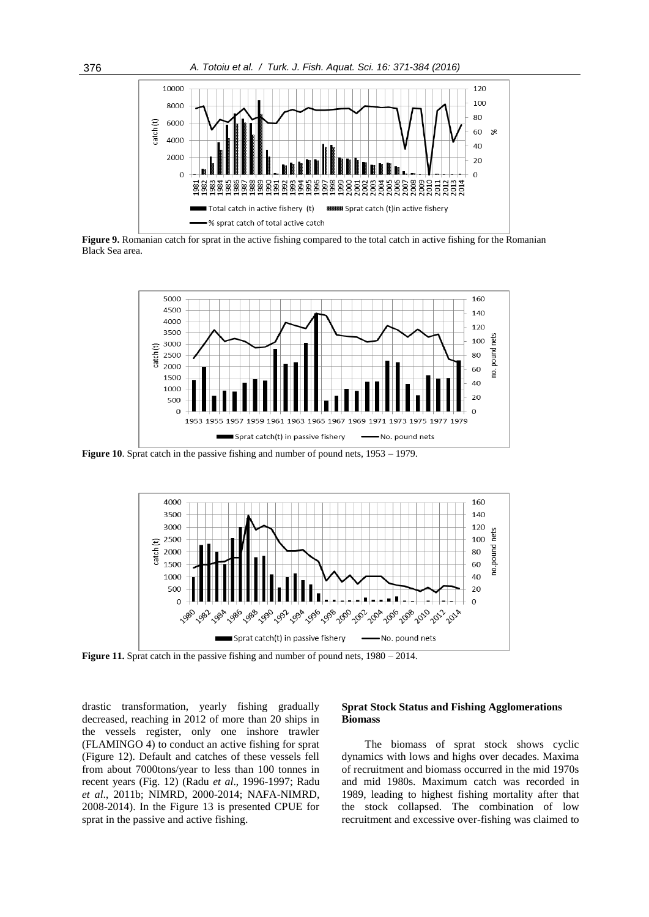

**Figure 9.** Romanian catch for sprat in the active fishing compared to the total catch in active fishing for the Romanian Black Sea area.



**Figure 10.** Sprat catch in the passive fishing and number of pound nets,  $1953 - 1979$ .



**Figure 11.** Sprat catch in the passive fishing and number of pound nets,  $1980 - 2014$ .

drastic transformation, yearly fishing gradually decreased, reaching in 2012 of more than 20 ships in the vessels register, only one inshore trawler (FLAMINGO 4) to conduct an active fishing for sprat (Figure 12). Default and catches of these vessels fell from about 7000tons/year to less than 100 tonnes in recent years (Fig. 12) (Radu *et al*., 1996-1997; Radu *et al*., 2011b; NIMRD, 2000-2014; NAFA-NIMRD, 2008-2014). In the Figure 13 is presented CPUE for sprat in the passive and active fishing.

#### **Sprat Stock Status and Fishing Agglomerations Biomass**

The biomass of sprat stock shows cyclic dynamics with lows and highs over decades. Maxima of recruitment and biomass occurred in the mid 1970s and mid 1980s. Maximum catch was recorded in 1989, leading to highest fishing mortality after that the stock collapsed. The combination of low recruitment and excessive over-fishing was claimed to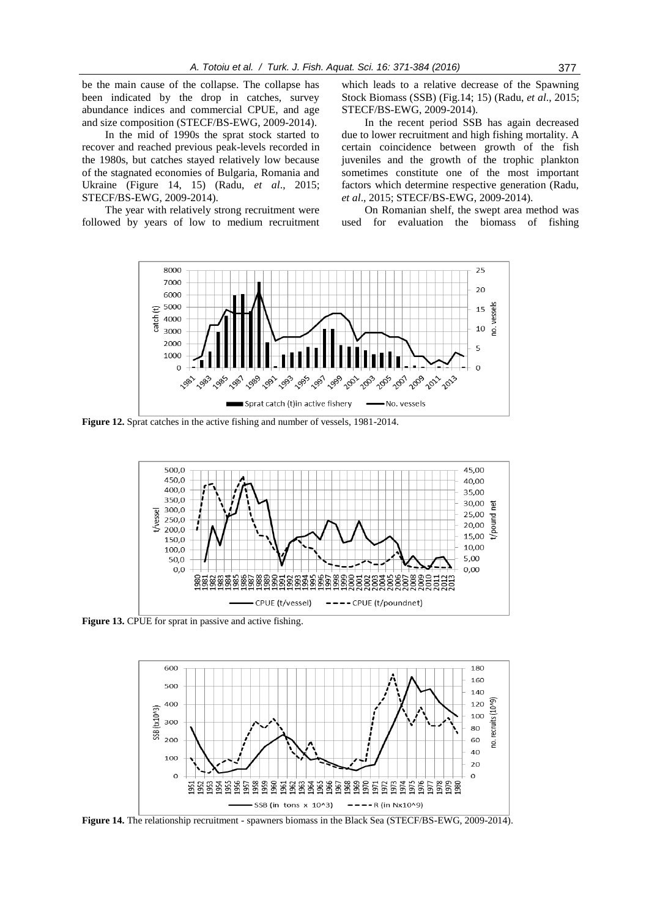be the main cause of the collapse. The collapse has been indicated by the drop in catches, survey abundance indices and commercial CPUE, and age and size composition (STECF/BS-EWG, 2009-2014).

In the mid of 1990s the sprat stock started to recover and reached previous peak-levels recorded in the 1980s, but catches stayed relatively low because of the stagnated economies of Bulgaria, Romania and Ukraine (Figure 14, 15) (Radu, *et al*., 2015; STECF/BS-EWG, 2009-2014).

The year with relatively strong recruitment were followed by years of low to medium recruitment

which leads to a relative decrease of the Spawning Stock Biomass (SSB) (Fig.14; 15) (Radu, *et al*., 2015; STECF/BS-EWG, 2009-2014).

In the recent period SSB has again decreased due to lower recruitment and high fishing mortality. A certain coincidence between growth of the fish juveniles and the growth of the trophic plankton sometimes constitute one of the most important factors which determine respective generation (Radu, *et al*., 2015; STECF/BS-EWG, 2009-2014).

On Romanian shelf, the swept area method was used for evaluation the biomass of fishing



**Figure 12.** Sprat catches in the active fishing and number of vessels, 1981-2014.



**Figure 13.** CPUE for sprat in passive and active fishing.



**Figure 14.** The relationship recruitment - spawners biomass in the Black Sea (STECF/BS-EWG, 2009-2014).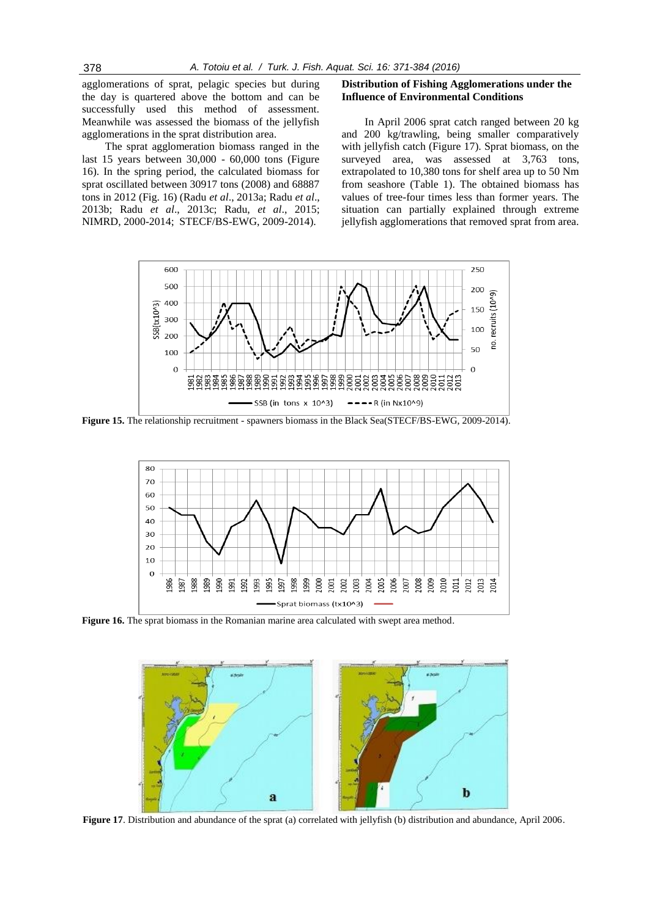agglomerations of sprat, pelagic species but during the day is quartered above the bottom and can be successfully used this method of assessment. Meanwhile was assessed the biomass of the jellyfish agglomerations in the sprat distribution area.

The sprat agglomeration biomass ranged in the last 15 years between 30,000 - 60,000 tons (Figure 16). In the spring period, the calculated biomass for sprat oscillated between 30917 tons (2008) and 68887 tons in 2012 (Fig. 16) (Radu *et al*., 2013a; Radu *et al*., 2013b; Radu *et al*., 2013c; Radu, *et al*., 2015; NIMRD, 2000-2014; STECF/BS-EWG, 2009-2014).

#### **Distribution of Fishing Agglomerations under the Influence of Environmental Conditions**

In April 2006 sprat catch ranged between 20 kg and 200 kg/trawling, being smaller comparatively with jellyfish catch (Figure 17). Sprat biomass, on the surveyed area, was assessed at 3,763 tons, extrapolated to 10,380 tons for shelf area up to 50 Nm from seashore (Table 1). The obtained biomass has values of tree-four times less than former years. The situation can partially explained through extreme jellyfish agglomerations that removed sprat from area.



**Figure 15.** The relationship recruitment - spawners biomass in the Black Sea(STECF/BS-EWG, 2009-2014).



Figure 16. The sprat biomass in the Romanian marine area calculated with swept area method.



**Figure 17**. Distribution and abundance of the sprat (a) correlated with jellyfish (b) distribution and abundance, April 2006.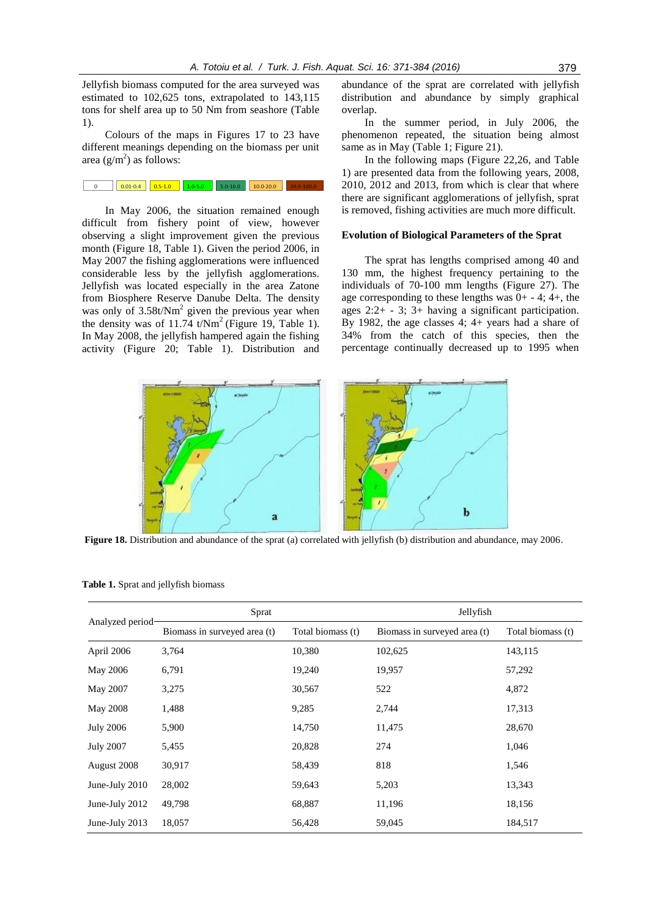Jellyfish biomass computed for the area surveyed was estimated to 102,625 tons, extrapolated to 143,115 tons for shelf area up to 50 Nm from seashore (Table 1).

Colours of the maps in Figures 17 to 23 have different meanings depending on the biomass per unit area  $(g/m^2)$  as follows:

In May 2006, the situation remained enough difficult from fishery point of view, however observing a slight improvement given the previous month (Figure 18, Table 1). Given the period 2006, in May 2007 the fishing agglomerations were influenced considerable less by the jellyfish agglomerations. Jellyfish was located especially in the area Zatone from Biosphere Reserve Danube Delta. The density was only of  $3.58t/Nm^2$  given the previous year when the density was of 11.74  $t/Nm^2$  (Figure 19, Table 1). In May 2008, the jellyfish hampered again the fishing activity (Figure 20; Table 1). Distribution and

abundance of the sprat are correlated with jellyfish distribution and abundance by simply graphical overlap.

In the summer period, in July 2006, the phenomenon repeated, the situation being almost same as in May (Table 1; Figure 21).

In the following maps (Figure 22,26, and Table 1) are presented data from the following years, 2008, 2010, 2012 and 2013, from which is clear that where there are significant agglomerations of jellyfish, sprat is removed, fishing activities are much more difficult.

## **Evolution of Biological Parameters of the Sprat**

The sprat has lengths comprised among 40 and 130 mm, the highest frequency pertaining to the individuals of 70-100 mm lengths (Figure 27). The age corresponding to these lengths was  $0+ - 4$ ;  $4+$ , the ages 2:2+ - 3; 3+ having a significant participation. By 1982, the age classes 4; 4+ years had a share of 34% from the catch of this species, then the percentage continually decreased up to 1995 when



**Figure 18.** Distribution and abundance of the sprat (a) correlated with jellyfish (b) distribution and abundance, may 2006.

| Analyzed period  | Sprat                        |                   | Jellyfish                    |                   |
|------------------|------------------------------|-------------------|------------------------------|-------------------|
|                  | Biomass in surveyed area (t) | Total biomass (t) | Biomass in surveyed area (t) | Total biomass (t) |
| April 2006       | 3,764                        | 10,380            | 102,625                      | 143,115           |
| May 2006         | 6,791                        | 19,240            | 19,957                       | 57,292            |
| May 2007         | 3,275                        | 30,567            | 522                          | 4,872             |
| May 2008         | 1,488                        | 9,285             | 2,744                        | 17,313            |
| <b>July 2006</b> | 5,900                        | 14,750            | 11,475                       | 28,670            |
| <b>July 2007</b> | 5,455                        | 20,828            | 274                          | 1,046             |
| August 2008      | 30,917                       | 58,439            | 818                          | 1,546             |
| June-July 2010   | 28,002                       | 59,643            | 5,203                        | 13,343            |
| June-July 2012   | 49,798                       | 68,887            | 11,196                       | 18,156            |
| June-July 2013   | 18,057                       | 56,428            | 59,045                       | 184,517           |

**Table 1.** Sprat and jellyfish biomass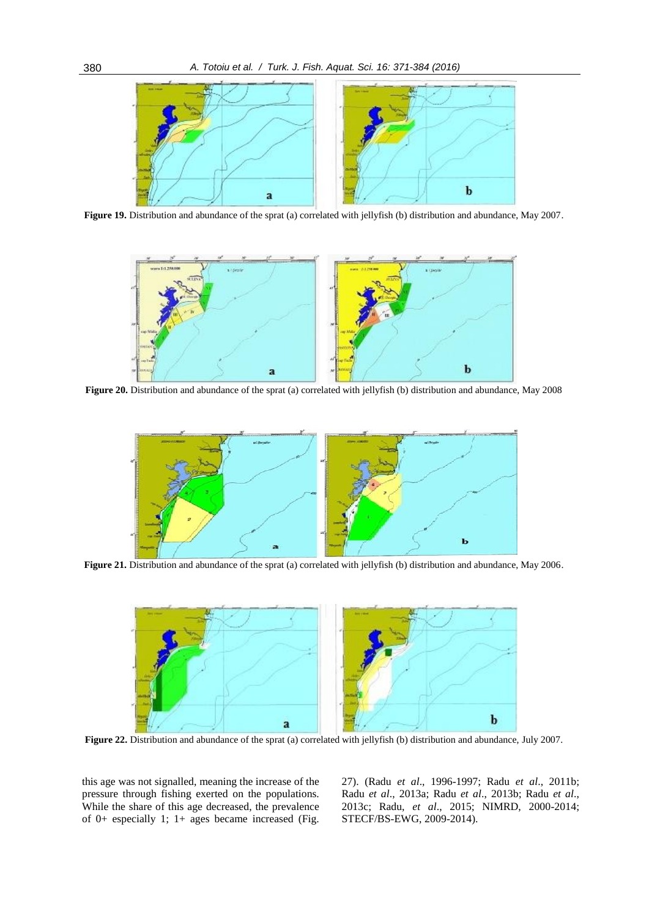

**Figure 19.** Distribution and abundance of the sprat (a) correlated with jellyfish (b) distribution and abundance, May 2007.



**Figure 20.** Distribution and abundance of the sprat (a) correlated with jellyfish (b) distribution and abundance, May 2008



**Figure 21.** Distribution and abundance of the sprat (a) correlated with jellyfish (b) distribution and abundance, May 2006.



**Figure 22.** Distribution and abundance of the sprat (a) correlated with jellyfish (b) distribution and abundance, July 2007.

this age was not signalled, meaning the increase of the pressure through fishing exerted on the populations. While the share of this age decreased, the prevalence of 0+ especially 1; 1+ ages became increased (Fig. 27). (Radu *et al*., 1996-1997; Radu *et al*., 2011b; Radu *et al*., 2013a; Radu *et al*., 2013b; Radu *et al*., 2013c; Radu, *et al*., 2015; NIMRD, 2000-2014; STECF/BS-EWG, 2009-2014).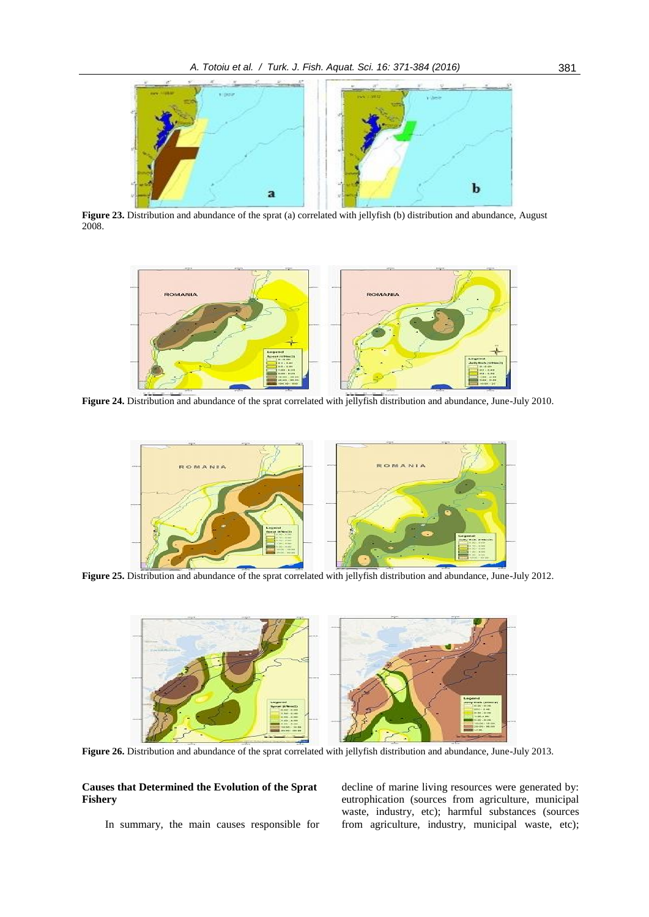

**Figure 23.** Distribution and abundance of the sprat (a) correlated with jellyfish (b) distribution and abundance, August 2008.



**Figure 24.** Distribution and abundance of the sprat correlated with jellyfish distribution and abundance, June-July 2010.



**Figure 25.** Distribution and abundance of the sprat correlated with jellyfish distribution and abundance, June-July 2012.



**Figure 26.** Distribution and abundance of the sprat correlated with jellyfish distribution and abundance, June-July 2013.

## **Causes that Determined the Evolution of the Sprat Fishery**

In summary, the main causes responsible for

decline of marine living resources were generated by: eutrophication (sources from agriculture, municipal waste, industry, etc); harmful substances (sources from agriculture, industry, municipal waste, etc);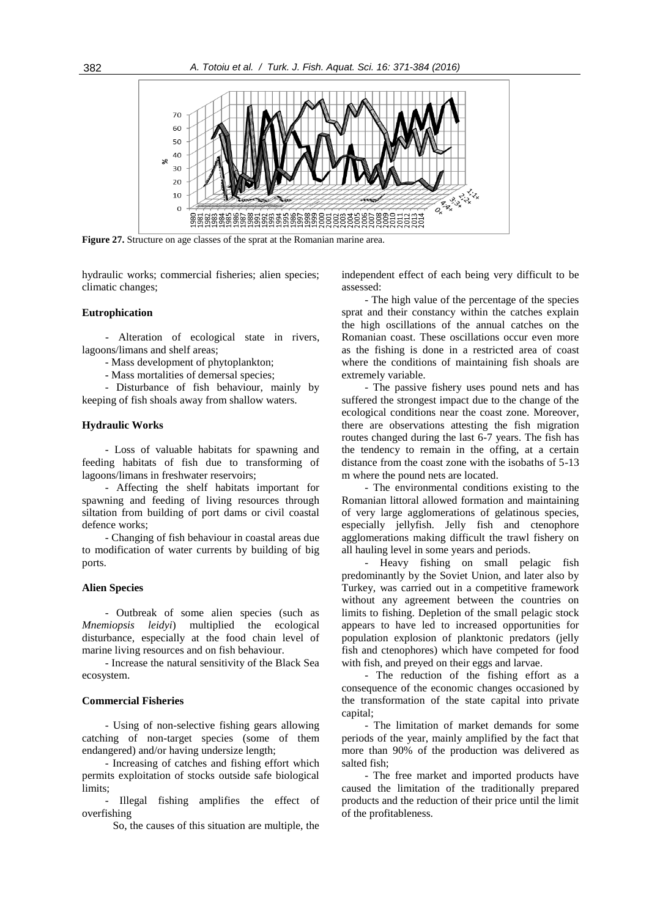

**Figure 27.** Structure on age classes of the sprat at the Romanian marine area.

hydraulic works; commercial fisheries; alien species; climatic changes;

#### **Eutrophication**

- Alteration of ecological state in rivers, lagoons/limans and shelf areas;

- Mass development of phytoplankton;

- Mass mortalities of demersal species;

- Disturbance of fish behaviour, mainly by keeping of fish shoals away from shallow waters.

## **Hydraulic Works**

- Loss of valuable habitats for spawning and feeding habitats of fish due to transforming of lagoons/limans in freshwater reservoirs;

- Affecting the shelf habitats important for spawning and feeding of living resources through siltation from building of port dams or civil coastal defence works;

- Changing of fish behaviour in coastal areas due to modification of water currents by building of big ports.

#### **Alien Species**

- Outbreak of some alien species (such as *Mnemiopsis leidyi*) multiplied the ecological disturbance, especially at the food chain level of marine living resources and on fish behaviour.

- Increase the natural sensitivity of the Black Sea ecosystem.

#### **Commercial Fisheries**

- Using of non-selective fishing gears allowing catching of non-target species (some of them endangered) and/or having undersize length;

- Increasing of catches and fishing effort which permits exploitation of stocks outside safe biological limits;

- Illegal fishing amplifies the effect of overfishing

So, the causes of this situation are multiple, the

independent effect of each being very difficult to be assessed:

- The high value of the percentage of the species sprat and their constancy within the catches explain the high oscillations of the annual catches on the Romanian coast. These oscillations occur even more as the fishing is done in a restricted area of coast where the conditions of maintaining fish shoals are extremely variable.

- The passive fishery uses pound nets and has suffered the strongest impact due to the change of the ecological conditions near the coast zone. Moreover, there are observations attesting the fish migration routes changed during the last 6-7 years. The fish has the tendency to remain in the offing, at a certain distance from the coast zone with the isobaths of 5-13 m where the pound nets are located.

- The environmental conditions existing to the Romanian littoral allowed formation and maintaining of very large agglomerations of gelatinous species, especially jellyfish. Jelly fish and ctenophore agglomerations making difficult the trawl fishery on all hauling level in some years and periods.

- Heavy fishing on small pelagic fish predominantly by the Soviet Union, and later also by Turkey, was carried out in a competitive framework without any agreement between the countries on limits to fishing. Depletion of the small pelagic stock appears to have led to increased opportunities for population explosion of planktonic predators (jelly fish and ctenophores) which have competed for food with fish, and preyed on their eggs and larvae.

- The reduction of the fishing effort as a consequence of the economic changes occasioned by the transformation of the state capital into private capital;

- The limitation of market demands for some periods of the year, mainly amplified by the fact that more than 90% of the production was delivered as salted fish;

- The free market and imported products have caused the limitation of the traditionally prepared products and the reduction of their price until the limit of the profitableness.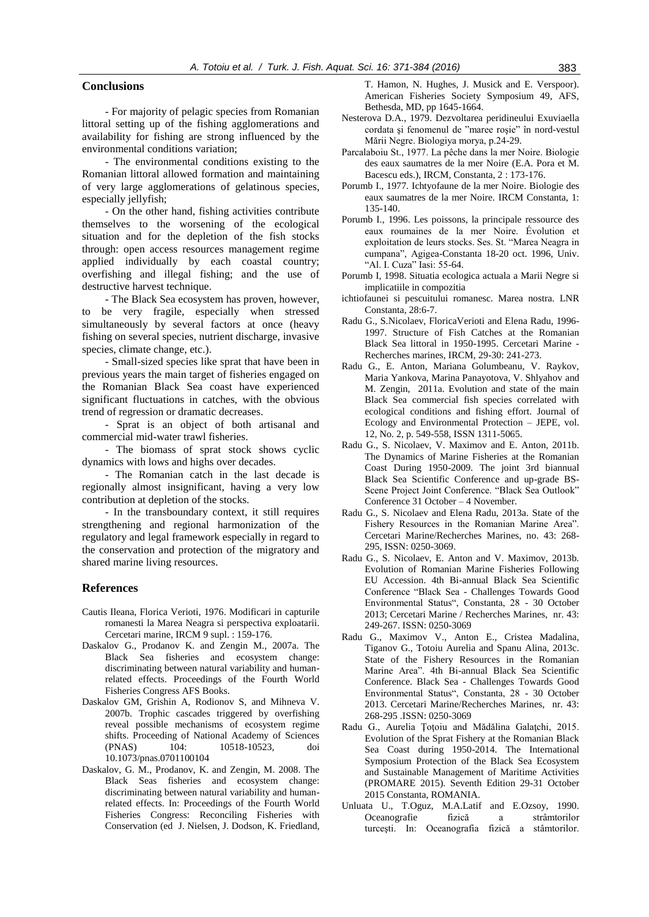## **Conclusions**

- For majority of pelagic species from Romanian littoral setting up of the fishing agglomerations and availability for fishing are strong influenced by the environmental conditions variation;

- The environmental conditions existing to the Romanian littoral allowed formation and maintaining of very large agglomerations of gelatinous species, especially jellyfish;

- On the other hand, fishing activities contribute themselves to the worsening of the ecological situation and for the depletion of the fish stocks through: open access resources management regime applied individually by each coastal country; overfishing and illegal fishing; and the use of destructive harvest technique.

- The Black Sea ecosystem has proven, however, to be very fragile, especially when stressed simultaneously by several factors at once (heavy fishing on several species, nutrient discharge, invasive species, climate change, etc.).

- Small-sized species like sprat that have been in previous years the main target of fisheries engaged on the Romanian Black Sea coast have experienced significant fluctuations in catches, with the obvious trend of regression or dramatic decreases.

- Sprat is an object of both artisanal and commercial mid-water trawl fisheries.

- The biomass of sprat stock shows cyclic dynamics with lows and highs over decades.

- The Romanian catch in the last decade is regionally almost insignificant, having a very low contribution at depletion of the stocks.

- In the transboundary context, it still requires strengthening and regional harmonization of the regulatory and legal framework especially in regard to the conservation and protection of the migratory and shared marine living resources.

## **References**

- Cautis Ileana, Florica Verioti, 1976. Modificari in capturile romanesti la Marea Neagra si perspectiva exploatarii. Cercetari marine, IRCM 9 supl. : 159-176.
- Daskalov G., Prodanov K. and Zengin M., 2007a. The Black Sea fisheries and ecosystem change: discriminating between natural variability and humanrelated effects. Proceedings of the Fourth World Fisheries Congress AFS Books.
- Daskalov GM, Grishin A, Rodionov S, and Mihneva V. 2007b. Trophic cascades triggered by overfishing reveal possible mechanisms of ecosystem regime shifts. Proceeding of National Academy of Sciences (PNAS) 104: 10518-10523, doi 10.1073/pnas.0701100104
- Daskalov, G. M., Prodanov, K. and Zengin, M. 2008. The Black Seas fisheries and ecosystem change: discriminating between natural variability and humanrelated effects. In: Proceedings of the Fourth World Fisheries Congress: Reconciling Fisheries with Conservation (ed J. Nielsen, J. Dodson, K. Friedland,

T. Hamon, N. Hughes, J. Musick and E. Verspoor). American Fisheries Society Symposium 49, AFS, Bethesda, MD, pp 1645-1664.

- Nesterova D.A., 1979. Dezvoltarea peridineului Exuviaella cordata şi fenomenul de "maree roşie" în nord-vestul Mării Negre. Biologiya morya, p.24-29.
- Parcalaboiu St., 1977. La pêche dans la mer Noire. Biologie des eaux saumatres de la mer Noire (E.A. Pora et M. Bacescu eds.), IRCM, Constanta, 2 : 173-176.
- Porumb I., 1977. Ichtyofaune de la mer Noire. Biologie des eaux saumatres de la mer Noire. IRCM Constanta, 1: 135-140.
- Porumb I., 1996. Les poissons, la principale ressource des eaux roumaines de la mer Noire. Évolution et exploitation de leurs stocks. Ses. St. "Marea Neagra in cumpana", Agigea-Constanta 18-20 oct. 1996, Univ. "Al. I. Cuza" Iasi: 55-64.
- Porumb I, 1998. Situatia ecologica actuala a Marii Negre si implicatiile in compozitia
- ichtiofaunei si pescuitului romanesc. Marea nostra. LNR Constanta, 28:6-7.
- Radu G., S.Nicolaev, FloricaVerioti and Elena Radu, 1996- 1997. Structure of Fish Catches at the Romanian Black Sea littoral in 1950-1995. Cercetari Marine - Recherches marines, IRCM, 29-30: 241-273.
- Radu G., E. Anton, Mariana Golumbeanu, V. Raykov, Maria Yankova, Marina Panayotova, V. Shlyahov and M. Zengin, 2011a. Evolution and state of the main Black Sea commercial fish species correlated with ecological conditions and fishing effort. Journal of Ecology and Environmental Protection – JEPE, vol. 12, No. 2, p. 549-558, ISSN 1311-5065.
- Radu G., S. Nicolaev, V. Maximov and E. Anton, 2011b. The Dynamics of Marine Fisheries at the Romanian Coast During 1950-2009. The joint 3rd biannual Black Sea Scientific Conference and up-grade BS-Scene Project Joint Conference. "Black Sea Outlook" Conference 31 October – 4 November.
- Radu G., S. Nicolaev and Elena Radu, 2013a. State of the Fishery Resources in the Romanian Marine Area". Cercetari Marine/Recherches Marines, no. 43: 268- 295, ISSN: 0250-3069.
- Radu G., S. Nicolaev, E. Anton and V. Maximov, 2013b. Evolution of Romanian Marine Fisheries Following EU Accession. 4th Bi-annual Black Sea Scientific Conference "Black Sea - Challenges Towards Good Environmental Status", Constanta, 28 - 30 October 2013; Cercetari Marine / Recherches Marines, nr. 43: 249-267. ISSN: 0250-3069
- Radu G., Maximov V., Anton E., Cristea Madalina, Tiganov G., Totoiu Aurelia and Spanu Alina, 2013c. State of the Fishery Resources in the Romanian Marine Area". 4th Bi-annual Black Sea Scientific Conference. Black Sea - Challenges Towards Good Environmental Status", Constanta, 28 - 30 October 2013. Cercetari Marine/Recherches Marines, nr. 43: 268-295 .ISSN: 0250-3069
- Radu G., Aurelia Ţoţoiu and Mădălina Galaţchi, 2015. Evolution of the Sprat Fishery at the Romanian Black Sea Coast during 1950-2014. The International Symposium Protection of the Black Sea Ecosystem and Sustainable Management of Maritime Activities (PROMARE 2015). Seventh Edition 29-31 October 2015 Constanta, ROMANIA.
- Unluata U., T.Oguz, M.A.Latif and E.Ozsoy, 1990. Oceanografie fizică a strâmtorilor turceşti. In: Oceanografia fizică a stâmtorilor.